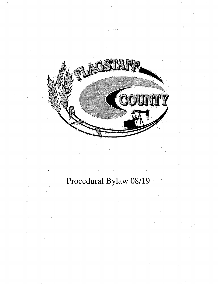

# Procedural Bylaw 08/19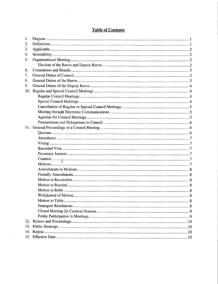| 1.  |  |
|-----|--|
| 2.  |  |
| 3.  |  |
| 4.  |  |
| 5.  |  |
|     |  |
| 6.  |  |
| 7.  |  |
| 8.  |  |
| 9.  |  |
| 10. |  |
|     |  |
|     |  |
|     |  |
|     |  |
|     |  |
|     |  |
|     |  |
|     |  |
|     |  |
|     |  |
|     |  |
|     |  |
|     |  |
|     |  |
|     |  |
|     |  |
|     |  |
|     |  |
|     |  |
|     |  |
|     |  |
|     |  |
|     |  |
|     |  |
|     |  |
|     |  |
|     |  |
|     |  |
|     |  |

# Table of Contents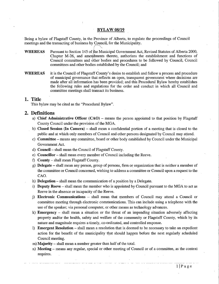#### **BYLAW 08/19**

Being <sup>a</sup> bylaw of Flagstaff County, in the Province of Alberta, to regulate the proceedings of Council meetings and the transacting of business by Council, for the Municipality.

- WHEREAS Pursuant to Section 145 of the Municipal Government Act, Revised Statutes of Alberta 2000, Chapter M-26, and amendments thereto, authorizes the establishment and functions of Council committees and other bodies and procedures to be followed by Council, Council committees and other bodies established by the Council; and
- WHEREAS it is the Council of Flagstaff County's desire to establish and follow a process and procedure of municipal governance that reflects an open, transparent government where decisions are made after all information has been provided; and this Procedural Bylaw hereby establishes the following rules and regulations for the order and conduct in which all Council and committee meetings shall transact its business.

# 1. Title

This bylaw may be cited as the "Procedural Bylaw".

#### 2. Definitions

- a) Chief Administrative Officer  $(CAO)$  means the person appointed to that position by Flagstaff County Council under the provision of the MGA.
- b) Closed Session (In Camera) shall mean a confidential portion of a meeting that is closed to the public and at which only members of Council and other persons designated by Council may attend.
- c) Committee means any committee, board or other body established by Council under the Municipal Government Act.
- d) Council shall mean the Council of Flagstaff County.
- e) Councillor shall mean every member of Council including the Reeve.
- f) County shall mean Flagstaff County.
- g) Delegate shall mean any person, group of persons, firm or organization that is neither <sup>a</sup> member of the committee or Council concerned, wishing to address a committee or Council upon a request to the CAO.
- h) Delegation shall mean the communication of <sup>a</sup> position by <sup>a</sup> Delegate.
- i) Deputy Reeve shall mean the member who is appointed by Council pursuant to the MGA to act as Reeve in the absence or incapacity of the Reeve.
- j) Electronic Communications shall mean that members of Council may attend <sup>a</sup> Council or committee meeting through electronic communications. This can include using a telephone with the use of the speaker; via personal computer, or other means as technology advances.
- k) **Emergency** shall mean a situation or the threat of an impending situation adversely affecting property and/or the health, safety and welfare of the community or Flagstaff County, which by its nature and magnitude requires a timely, co- ordinated, and controlled response.
- 1) Emergent Resolution shall mean <sup>a</sup> resolution that is deemed to be necessary to take an expedient action for the benefit of the municipality that should happen before the next regularly scheduled Council meeting.
- m) Majority shall mean a number greater than half of the total.
- m) Majority shall mean a number greater than half of the total.<br>
n) Meeting means any regular, special or other meeting of Council or of a committee, as the context requires.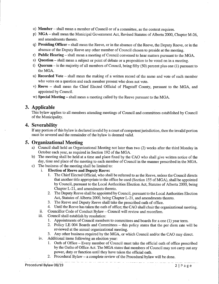- o) Member shall mean <sup>a</sup> member of Council or of <sup>a</sup> committee, as the context requires.
- p) MGA shall mean the Municipal Government Act, Revised Statutes of Alberta 2000, Chapter M-26, and amendments thereto.
- q) Presiding Officer shall mean the Reeve, or in the absence of the Reeve, the Deputy Reeve, or in the absence of the Deputy Reeve any other member of Council chosen to preside at the meeting.
- r) Public Hearing shall mean <sup>a</sup> meeting of Council convened to hear matters pursuant to the MGA.
- s) **Question** shall mean a subject or point of debate or a proposition to be voted on in a meeting.
- t) Quorum is the majority of all members of Council, being fifty (50) percent plus one (1) pursuant to the MGA.
- u) Recorded Vote shall mean the making of <sup>a</sup> written record of the name and vote of each member who votes on a question and each member present who does not vote.
- v) Reeve shall mean the Chief Elected Official of Flagstaff County, pursuant to the MGA, and appointed by Council.
- w) Special Meeting shall mean a meeting called by the Reeve pursuant to the MGA.

# 3. Applicable

This bylaw applies to all members attending meetings of Council and committees established by Council of the Municipality.

# 4. Severability

If any portion of this bylaw is declared invalid by <sup>a</sup> court of competent jurisdiction, then the invalid portion must be severed and the remainder of the bylaw is deemed valid.

# 5. Organizational Meeting

- a) Council shall hold an Organizational Meeting not later than two (2) weeks after the third Monday in October each year, as required in Section 192 of the MGA.
- b) The meeting shall be held at <sup>a</sup> time and place fixed by the CAO who shall give written notice of the day, time and place of the meeting to each member of Council in the manner prescribed in the MGA.
- c) The business of the meeting shall be limited to:<br>i. Election of Reeve and Deputy Reeve:
	- **Election of Reeve and Deputy Reeve:** 
		- 1. The Chief Elected Official, who shall be referred to as the Reeve, unless the Council directs that another title appropriate to the office be used (Section 155 of MGA), shall be appointed by Council, pursuant to the Local Authorities Election Act, Statutes of Alberta 2000, being Chapter L-21, and amendments thereto.
		- 2. The Deputy Reeve shall be appointed by Council, pursuant to the Local Authorities Election Act, Statutes of Alberta 2000, being Chapter L-21, and amendments thereto.
		- 3. The Reeve and Deputy Reeve shall take the prescribed oath of office.
		- 4. Until the Reeve has taken the oath of office; the CAO shall chair the organizational meeting.
	- ii. Councillor Code of Conduct Bylaw Council will review and reconfirm.
	- iii. Council shall establish by resolution:
		- 1. Appointments of Council members to committees and boards for <sup>a</sup> one ( 1) year term.
		- 2. Policy LE <sup>004</sup> Boards and Committees this policy states that the per diem rate will be reviewed at the annual organizational meeting.
		- 3. Any other business required by the MGA, or which Council and/or the CAO may direct.
	- iv. Additional items following an election year:
		- 1. Oath of Office Every member of Council must take the official oath of office prescribed by the Oaths of Office Act. The MGA states that members of Council may not carry out any power, duty or function until they have taken the official oath.

2. Procedural Bylaw — a complete review of the Procedural bylaw will be done.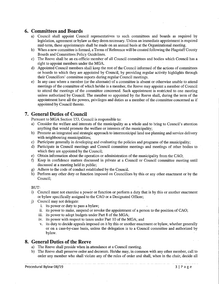# 6. Committees and Boards

- a) Council shall appoint Council representatives to such committees and boards as required by legislation, agreement or bylaw as they deem necessary. Unless an immediate appointment is required mid- term, these appointments shall be made on an annual basis at the Organizational meeting.
- b) When <sup>a</sup> new committee is formed, a Terms of Reference will be created following the Flagstaff County Boards and Committees Policy Guidelines.
- c) The Reeve shall be an ex- officio' member of all Council committees and bodies which Council has a right to appoint members under the MGA.
- d) Appointed Council- members shall keep the rest of the Council informed of the actions of committees or boards to which they are appointed by Council, by providing regular activity highlights through their Councillors' committee reports during regular Council meetings.
- e) In any case where <sup>a</sup> member ( or the alternate) of <sup>a</sup> committee is absent or otherwise unable to attend meetings of the committee of which he/she is a member, the Reeve may appoint a member of Council to attend the meetings of the committee concerned. Such appointment is restricted to one meeting unless authorized by Council. The member so appointed by the Reeve shall, during the term of the appointment have all the powers, privileges and duties as <sup>a</sup> member of the committee concerned as if appointed by Council thereto.

# 7. General Duties of Council

Pursuant to MGA Section 153, Council is responsible to:

- a) Consider the welfare and interests of the municipality as a whole and to bring to Council's attention anything that would promote the welfare or interests of the municipality;
- b) Promote an integrated and strategic approach to intermunicipal land use planning and service delivery with neighbouring municipalities;
- c) Participate generally in developing and evaluating the policies and programs of the municipality;
- d) Participate in Council meetings and Council committee meetings and meetings of other bodies to which they are appointed by the Council;
- e) Obtain information about the operation or administration of the municipality from the CAO;
- f) Keep in confidence matters discussed in private at <sup>a</sup> Council or Council committee meeting until discussed at a meeting held in public;
- g) Adhere to the code of conduct established by the Council.
- h) Perform any other duty or function imposed on Councillors by this or any other enactment or by the Council;

BUT:

- i) Council must not exercise <sup>a</sup> power or function or perform <sup>a</sup> duty that is by this or another enactment or bylaw specifically assigned to the CAO or a Designated Officer;
- j) Council may not delegate:
	- i. its power or duty to pass <sup>a</sup> bylaw;
	- ii. its power to make, suspend or revoke the appointment of <sup>a</sup> person to the position of CAO;
	- iii. its power to adopt budgets under Part <sup>8</sup> of the MGA;
	- iv. its power with respect to taxes under Part <sup>10</sup> of the MGA; and
	- v. its duty to decide appeals imposed on it by this or another enactment or bylaw, whether generally or on a case -by -case basis, unless the delegation is to a Council committee and authorized by bylaw.

### 8. General Duties of the Reeve

- a) The Reeve shall preside when in attendance at <sup>a</sup> Council meeting.
- b) The Reeve shall preserve order and decorum. He/she may, in common with any other member, call to order any member who shall violate any of the rules of order and shall, when in the chair, decide all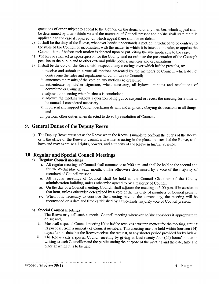questions of order subject to appeal to the Council on the demand of any member, which appeal shall be determined by a two-thirds vote of the members of Council present and he/she shall state the rule applicable to the case if required, on which appeal there shall be no debate.

- c) It shall be the duty of the Reeve, whenever he/she understands a motion introduced to be contrary to the rules of the Council or inconsistent with the matter to which it is intended to refer, to apprise the Council thereof before such motion is debated upon or put, citing the rule applicable to the case.
- d) The Reeve shall act as spokesperson for the County, and co-ordinate the presentation of the County's position to the public and to other external public bodies, agencies and organizations.
- e) It shall be the duty of the Reeve, with respect to any meetings over which he/she presides, to:
	- i. receive and submit to a vote all motions presented by the members of Council, which do not contravene the rules and regulations of committee or Council;
	- ii. announce the results of the vote on any motions so presented:
	- iii. authenticate by his/her signature, when necessary, all bylaws, minutes and resolutions of committee or Council;
	- iv. adjourn the meeting when business is concluded;
	- v. adjourn the meeting without <sup>a</sup> question being put or suspend or recess the meeting for <sup>a</sup> time to be named if considered necessary;
	- vi. represent and support Council, declaring its will and implicitly obeying its decisions in all things; and
	- vii. perform other duties when directed to do so by resolution of Council.

# 9. General Duties of the Deputy Reeve

a) The Deputy Reeve must act as the Reeve when the Reeve is unable to perform the duties of the Reeve, or if the office of the Reeve is vacant, and while so acting in the place and stead of the Reeve, shall have and may exercise all rights, powers, and authority of the Reeve in his/her absence.

# 10. Regular and Special Council Meetings

# a) Regular Council meetings

- i. All regular meetings of Council shall commence at 9:00 a.m. and shall be held on the second and fourth Wednesday of each month, unless otherwise determined by a vote of the majority of members of Council present.
- ii. All regular meetings of Council shall be held in the Council Chambers of the County administration building, unless otherwise agreed to by a majority of Council.
- iii. On the day of <sup>a</sup> Council meeting, Council shall adjourn the meeting at 5: <sup>00</sup> p.m. if in session at that hour, unless otherwise determined by <sup>a</sup> vote of the majority of members of Council present.
- iv. When it is necessary to continue the meeting beyond the current day, the meeting will be reconvened on a date and time established by a two-thirds majority vote of Council present.

#### b) Special Council meetings

- i. The Reeve may call such a special Council meeting whenever he/she considers it appropriate to do so; and,
- ii. Must call a special Council meeting if the he/she receives a written request for the meeting, stating its purpose, from <sup>a</sup> majority of Council members. This meeting must be held within fourteen ( 14) days after the date that the Reeve receives the request, or any shorter period provided for by bylaw.
- iii. The Reeve calls <sup>a</sup> special Council meeting by giving at least twenty-four ( 24) hours' notice in writing to each Councillor and the public stating the purpose of the meeting and the date, time and place at which it is to be held.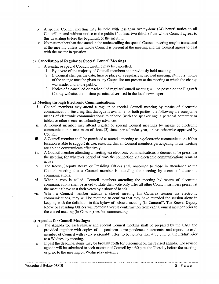- iv. A special Council meeting may be held with less than twenty-four (24) hours' notice to all Councillors and without notice to the public if at least two-thirds of the whole Council agrees to this in writing before the beginning of the meeting.
- v. No matter other than that stated in the notice calling the special Council meeting may be transacted at the meeting unless the whole Council is present at the meeting and the Council agrees to deal with the matter in question.

#### c) Cancellation of Regular or Special Council Meetings

- i. A regular or special Council meeting may be cancelled:
	- 1. By a vote of the majority of Council members at a previously held meeting.
	- 2. If Council changes the date, time or place of <sup>a</sup> regularly scheduled meeting, 24 hours' notice of the change must be given to any Councillor not present at the meeting at which the change was made, and to the public.
	- 3. Notice of <sup>a</sup> cancelled or rescheduled regular Council meeting will be posted on the Flagstaff County website, and if time permits, advertised in the local newspaper.

#### d) Meeting through Electronic Communications:

- i. Council members may attend <sup>a</sup> regular or special Council meeting by means of electronic communication. Ensuring that dialogue is available for both parties, the following are acceptable means of electronic communications: telephone ( with the speaker on); <sup>a</sup> personal computer or tablet; or other means as technology advances.
- ii. A Council member may attend regular or special Council meetings by means of electronic communication a maximum of three (3) times per calendar year, unless otherwise approved by Council.
- iii. A Council member shall be permitted to attend <sup>a</sup> meeting using electronic communications if that location is able to support its use, ensuring that all Council members participating in the meeting are able to communicate effectively.
- iv. A Council member attending <sup>a</sup> meeting via electronic communications is deemed to be present at the meeting for whatever period of time the connection via electronic communications remains active.
- v. The Reeve, Deputy Reeve or Presiding Officer shall announce to those in attendance at the Council meeting that a Council member is attending the meeting by means of electronic communications.
- vi. When <sup>a</sup> vote is called, Council members attending the meeting by means of electronic communications shall be asked to state their vote only after all other Council members present at the meeting have cast their votes by a show of hands.
- vii. When a Council member attends a closed meeting (In Camera) session via electronic communications, they will be required to confirm that they have attended the session alone in keeping with the definition in this bylaw of "closed meeting (In Camera)". The Reeve, Deputy Reeve or Presiding Officer will request <sup>a</sup> verbal confirmation from each Council member prior to the closed meeting (In Camera) session commencing.

#### e) Agendas for Council Meetings:

- i. The Agenda for each regular and special Council meeting shall be prepared by the CAO and provided together with copies of all pertinent correspondence, statements, and reports to each member of Council with every reasonable effort to be no later than 4:30 p.m. on the Friday prior to a Wednesday meeting.
- ii. If past the deadline, items may be brought forth for placement on the revised agenda. The revised agenda will be submitted to each member of Council by 4:30 p.m. the Tuesday before the meeting, or prior to the meeting on Wednesday morning.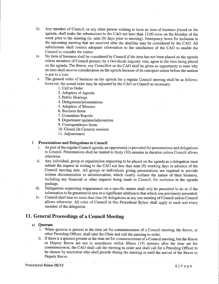- iii. Any member of Council, or any other person wishing to have an item of business placed on the agenda, shall make the submissions to the CAO not later than 12: 00 noon on the Monday of the week prior to the meeting (ie. nine (9) days prior to meeting). Emergency items for inclusion in the upcoming meeting that are received after the deadline may be considered by the CAO. All submissions shall contain adequate information to the satisfaction of the CAO to enable the Council to consider the matter.
- iv. No item of business shall be considered by Council if the item has not been placed on the agenda unless members of Council present, by a two-thirds majority vote, agree to the item being placed on the agenda. The Reeve, any Councillor or the CAO shall be given an opportunity to state why an item shall receive consideration on the agenda because of its emergent nature before the motion is put to a vote.
- v. The general order of business on the agenda for <sup>a</sup> regular Council meeting shall be as follows; however, the actual order may be adjusted by the CAO or Council as necessary:
	- 1. Call to Order
	- 2. Adoption of Agenda
	- 3. Public Hearings
	- 4. Delegations/presentations
	- 5. Adoption of Minutes
	- 6. Business Items
	- 7. Committee Reports
	- 8. Department updates/information
	- 9. Correspondence Items
	- 10. Closed (In Camera) sessions
	- 11. Adjournment

#### f. Presentations and Delegations to Council

- i. As part of the regular Council agenda, an opportunity is provided for presentations and delegations to Council. Presentations shall be limited to thirty (30) minutes in duration unless Council allows otherwise.
- ii. Any individual, group or organization requesting to be placed on the agenda as <sup>a</sup> delegation must submit the request in writing to the CAO not less than nine (9) working days in advance of the Council meeting date. All groups or individuals giving presentations are required to provide written documentation to administration, which clearly outlines the nature of their business. including any financial or other requests being made to Council, for inclusion in the agenda package.
- iii. Delegations requesting reappearance on <sup>a</sup> specific matter shall only be permitted to do so if the information to be presented is new or a significant addition to that which was previously presented.
- iv. Council shall hear no more than four (4) delegations at any one meeting of Council unless Council allows otherwise. All rules of Council in this Procedural Bylaw shall apply to each and every member of the delegation.

# 11. General Proceedings of a Council Meeting

#### a) Quorum

- i. When quorum is present at the time set for commencement of <sup>a</sup> Council meeting, the Reeve, or other Presiding Officer, shall take the Chair and call the meeting to order.
- ii. If there is <sup>a</sup> quorum present at the time set for commencement of <sup>a</sup> Council meeting, but the Reeve or Deputy Reeve are not in attendance within fifteen ( 15) minutes after the time set for commencement, the CAO shall call the meeting to order and shall call for a Presiding Officer to be chosen by resolution who shall preside during the meeting or until the arrival of the Reeve or Deputy Reeve.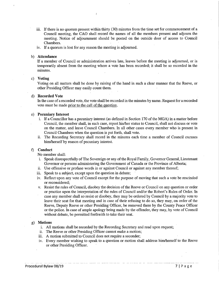- iii. If there is no quorum present within thirty ( 30) minutes from the time set for commencement of <sup>a</sup> Council meeting, the CAO shall record the names of all the members present and adjourn the meeting. Notice of adjournment should be posted on the outside door of access to Council Chambers.
- iv. If <sup>a</sup> quorum is lost for any reason the meeting is adjourned.

 $\mathbf{r}$ 

#### b) Attendance

If <sup>a</sup> member of Council or administration arrives late, leaves before the meeting is adjourned, or is temporarily absent from the meeting where a vote has been recorded; it shall be so recorded in the minutes.

#### c) Voting

Voting on all matters shall be done by raising of the hand in such a clear manner that the Reeve, or other Presiding Officer may easily count them.

#### d) Recorded Vote

In the case of a recorded vote, the vote shall be recorded in the minutes by name. Request for a recorded vote must be made prior to the call of the question.

#### e) Pecuniary Interest

- i. If <sup>a</sup> Councillor has <sup>a</sup> pecuniary interest (as defined in Section <sup>170</sup> of the MGA) in <sup>a</sup> matter before Council, the member shall, in such case, report his/her status to Council, shall not discuss or vote on the matter, and leave Council Chambers. In all other cases every member who is present in Council Chambers when the question is put forth, shall vote.
- ii. The Recording Secretary shall record in the minutes each time <sup>a</sup> member of Council excuses him/herself by reason of pecuniary interest.

#### f) Conduct

No member shall:

- i. Speak disrespectfully of The Sovereign or any of the Royal Family, Governor General, Lieutenant Governor or persons administering the Government of Canada or the Province of Alberta;
- ii. Use offensive or profane words in or against Council or against any member thereof;
- iii. Speak to <sup>a</sup> subject, except upon the question in debate;
- iv. Reflect upon any vote of Council except for the purpose of moving that such <sup>a</sup> vote be rescinded or reconsidered;
- v. Resist the rules of Council, disobey the decision of the Reeve or Council on any question or order or practice upon the interpretation of the rules of Council and/or the Robert's Rules of Order. In case any member shall so resist or disobey, they may be ordered by Council by a majority vote to leave their seat for that meeting and in case of their refusing to do so, they may, on order of the Reeve, Deputy Reeve or other Presiding Officer, be removed there by the County Peace Officer or the police. In case of ample apology being made by the offender, they may, by vote of Council without debate, be permitted forthwith to take their seat.

#### g) Motions

- i. All motions shall be recorded by the Recording Secretary and read upon request;
- ii. The Reeve or other Presiding Officer cannot make <sup>a</sup> motion;
- iii. A motion submitted to Council does not require <sup>a</sup> seconder;
- iv. Every member wishing to speak to <sup>a</sup> question or motion shall address him/ herself to the Reeve or other Presiding Officer.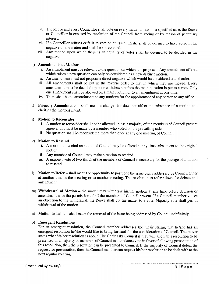- v. The Reeve and every Councillor shall vote on every matter unless, in <sup>a</sup> specified case, the Reeve or Councillor is excused by resolution of the Council from voting or by reason of pecuniary interest;
- vi. If <sup>a</sup> Councillor refuses or fails to vote on an issue, he/ she shall be deemed to have voted in the negative on the matter and shall be so recorded.
- vii. Any motion upon which there is an equality of votes shall be deemed to be decided in the negative.

#### h) Amendments to Motions

- i. An amendment must be relevant to the question on which it is proposed. Any amendment offered which raises a new question can only be considered as a new distinct motion.
- ii. An amendment must not propose <sup>a</sup> direct negative which would be considered out of order.
- iii. All amendments shall be put in the reverse order to that in which they are moved. Every amendment must be decided upon or withdrawn before the main question is put to a vote. Only one amendment shall be allowed on a main motion or to an amendment at one time.
- iv. There shall be no amendments to any motions for the appointment of any person to any office.
- i) Friendly Amendments shall mean <sup>a</sup> change that does not affect the substance of <sup>a</sup> motion and clarifies the motions intent.

#### j) Motion to Reconsider

- i. A motion to reconsider shall not be allowed unless <sup>a</sup> majority of the members of Council present agree and it must be made by <sup>a</sup> member who voted on the prevailing side.
- ii. No question shall be reconsidered more than once at any one meeting of Council.

#### k) Motion to Rescind

- i. A motion to rescind an action of Council may be offered at any time subsequent to the original motion.
- ii. Any member of Council may make <sup>a</sup> motion to rescind.
- iii. A majority vote of two-thirds of the members of Council is necessary for the passage of a motion to rescind.
- 1) Motion to Refer shall mean the opportunity to postpone the issue being addressed by Council either at another time in the meeting or to another meeting. The resolution to refer allows for debate and amendment.
- m) Withdrawal of Motion the mover may withdraw his/her motion at any time before decision or amendment with the permission of all the members of Council present. If <sup>a</sup> Council member voices an objection to the withdrawal, the Reeve shall put the matter to a vote. Majority vote shall permit withdrawal of the motion.
- n) Motion to Table shall mean the removal of the issue being addressed by Council indefinitely.

#### o) Emergent Resolutions

For an emergent resolution, the Council member addresses the Chair stating that he/she has an emergent resolution he/she would like to bring forward for the consideration of Council. The mover states what his/her resolution is about. The Chair asks Council if they will allow this resolution to be presented. If <sup>a</sup> majority of members of Council in attendance vote in favor of allowing presentation of this resolution, then the resolution can be presented to Council. If the majority of Council defeat the request for presentation, then the Council member can request his/her resolution to be dealt with at the next regular meeting.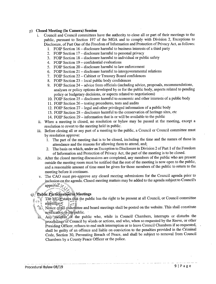#### p) Closed Meeting (In Camera) Session

- Council and Council committees have the authority to close all or part of their meetings to the i. public, pursuant to Section 197 of the MGA and to comply with Division 2, Exceptions to Disclosure, of Part One of the Freedom of Information and Protection of Privacy Act, as follows:
	- 1. FOIP Section 16 disclosure harmful to business interests of <sup>a</sup> third party
	- 2. FOIP Section 17 disclosure harmful to personal privacy
	- 3. FOIP Section 18 disclosure harmful to individual or public safety
	- 4. FOIP Section 19 confidential evaluations
	- 5. FOIP Section 20 disclosure harmful to law enforcement
	- 6. FOIP Section  $21 -$  disclosure harmful to intergovernmental relations
	- 7. FOIP Section 22 Cabinet or Treasury Board confidences
	- 8. FOIP Section 23 local public body confidences
	- 9. FOIP Section 24 advice from officials (including advice, proposals, recommendations, analyses or policy options developed by or for the public body, aspects related to pending policy or budgetary decisions, or aspects related to negotiations)
	- 10. FOIP Section 25 disclosure harmful to economic and other interests of a public body
	- 11. FOIP Section 26 testing procedures, tests and audits
	- 12. FOIP Section 27 legal and other privileged information of <sup>a</sup> public body
	- 13. FOIP Section 28 disclosure harmful to the conservation of heritage sites, etc
	- 14. FOIP Section 29 information that is or will be available to the public
- ii. When <sup>a</sup> meeting is closed, no resolution or bylaw may be passed at the meeting, except <sup>a</sup> resolution to revert to the meeting held in public.
- iii. Before closing all or any part of <sup>a</sup> meeting to the public, a Council or Council committee must by resolution approve:
	- 1. The part of the meeting that is to be closed, including the time and the names of those in attendance and the reasons for allowing them to attend, and;
	- 2. The basis on which, under an Exception to Disclosure in Division 2 of Part <sup>1</sup> of the Freedom of Information and Protection of Privacy Act, the part of the meeting is to be closed.
- iv. After the closed meeting discussions are completed, any members of the public who are present outside the meeting room must be notified that the rest of the meeting is now open to the public, and a reasonable amount of time must be given for those members of the public to return to the meeting before it continues.
- The CAO must pre-approve any closed meeting submissions for the Council agenda prior to inclusion on the agenda. Closed meeting matters may be added to the agenda subject to Council's The CAO must pre-approve any closed meeting submissions for the Council agenda prior to<br>
inclusion on the agenda. Closed meeting matters may be added to the agenda subject to Council's<br>
sharp in a method inclusion of the

- $\sum_{i=1}^{\infty}$  ,  $\sum_{i=1}^{\infty}$  Public Participation in Meetings<br>Public Participation in Meetings<br> $\sum_{i=1}^{\infty}$  The MGA states that the public approval.  $\sqrt{\frac{1}{2}}$ <br>ic Participation in Meetings<br>The MG/S states that the public has the right to be present at all Council, or Council committee<br>meetings: MGA-states that
- notificatto4 ` the:'public. iii.. It. Notice of all committee and board meetings shall be posted on the website. This shall constitute<br>
iti. Any members, interrupts or disturbs the public who, while in Council Chambers, interrupts or disturbs the<br>
iti. Any
- Any: members we pushed the public who, while in Council Chambers, interrupts or disturbs the proceedings of Council by words or actions, and who, when so requested by the Reeve, or other Presiding Officer refuses to end su meetings:<br>
Notice of all constitute and board meetings shall be posted on the website. This shall constitute<br>
notification to higher interpretion.<br>
Any members if the public who, while in Council Chambers, interrupts or di Shall be guilty of an offence and liable on conviction to the penalties provided in the Criminal Code, Section 30, Preventing Breach of Peace, and shall be subject to removal from Council Chambers by a County Bases Officer shall be guilty of an offence and liable on conviction to the penalties provided in the Criminal Code, Section 30, Preventing Breach of Peace, and shall be subject to removal from Council Chambers by a County Peace Officer